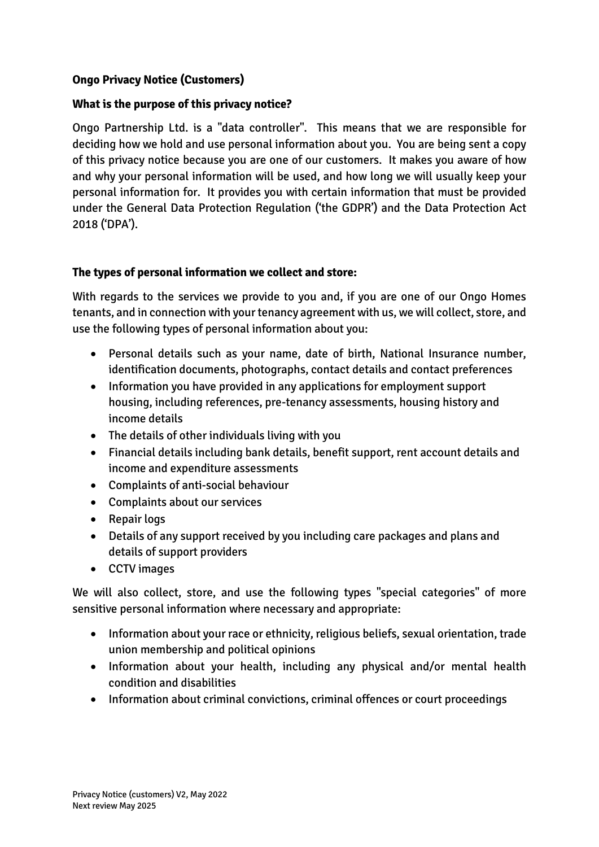# **Ongo Privacy Notice (Customers)**

## **What is the purpose of this privacy notice?**

Ongo Partnership Ltd. is a "data controller". This means that we are responsible for deciding how we hold and use personal information about you. You are being sent a copy of this privacy notice because you are one of our customers. It makes you aware of how and why your personal information will be used, and how long we will usually keep your personal information for. It provides you with certain information that must be provided under the General Data Protection Regulation ('the GDPR') and the Data Protection Act 2018 ('DPA').

### **The types of personal information we collect and store:**

With regards to the services we provide to you and, if you are one of our Ongo Homes tenants, and in connection with your tenancy agreement with us, we will collect, store, and use the following types of personal information about you:

- Personal details such as your name, date of birth, National Insurance number, identification documents, photographs, contact details and contact preferences
- Information you have provided in any applications for employment support housing, including references, pre-tenancy assessments, housing history and income details
- The details of other individuals living with you
- Financial details including bank details, benefit support, rent account details and income and expenditure assessments
- Complaints of anti-social behaviour
- Complaints about our services
- Repair logs
- Details of any support received by you including care packages and plans and details of support providers
- CCTV images

We will also collect, store, and use the following types "special categories" of more sensitive personal information where necessary and appropriate:

- Information about your race or ethnicity, religious beliefs, sexual orientation, trade union membership and political opinions
- Information about your health, including any physical and/or mental health condition and disabilities
- Information about criminal convictions, criminal offences or court proceedings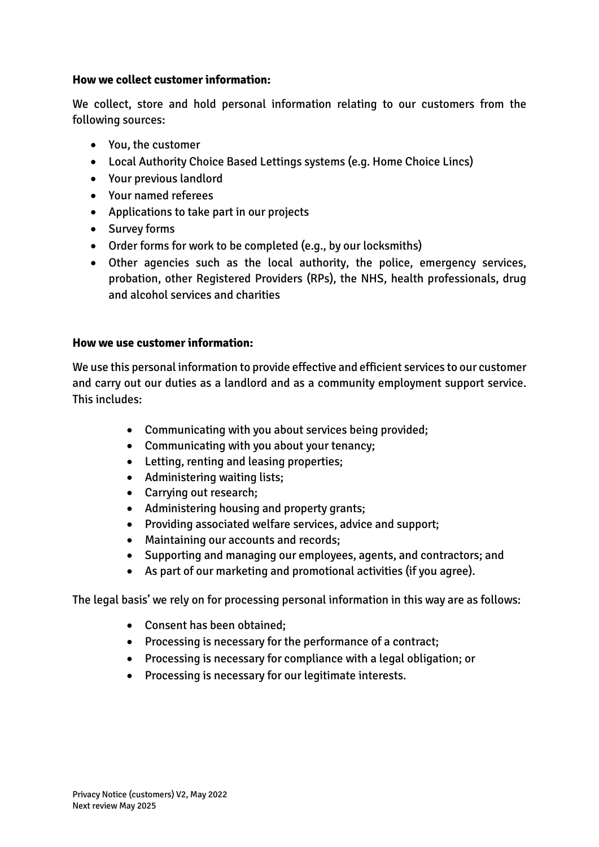### **How we collect customer information:**

We collect, store and hold personal information relating to our customers from the following sources:

- You, the customer
- Local Authority Choice Based Lettings systems (e.g. Home Choice Lincs)
- Your previous landlord
- Your named referees
- Applications to take part in our projects
- Survey forms
- Order forms for work to be completed (e.g., by our locksmiths)
- Other agencies such as the local authority, the police, emergency services, probation, other Registered Providers (RPs), the NHS, health professionals, drug and alcohol services and charities

#### **How we use customer information:**

We use this personal information to provide effective and efficient services to our customer and carry out our duties as a landlord and as a community employment support service. This includes:

- Communicating with you about services being provided;
- Communicating with you about your tenancy;
- Letting, renting and leasing properties;
- Administering waiting lists;
- Carrying out research;
- Administering housing and property grants;
- Providing associated welfare services, advice and support;
- Maintaining our accounts and records;
- Supporting and managing our employees, agents, and contractors; and
- As part of our marketing and promotional activities (if you agree).

The legal basis' we rely on for processing personal information in this way are as follows:

- Consent has been obtained;
- Processing is necessary for the performance of a contract;
- Processing is necessary for compliance with a legal obligation; or
- Processing is necessary for our legitimate interests.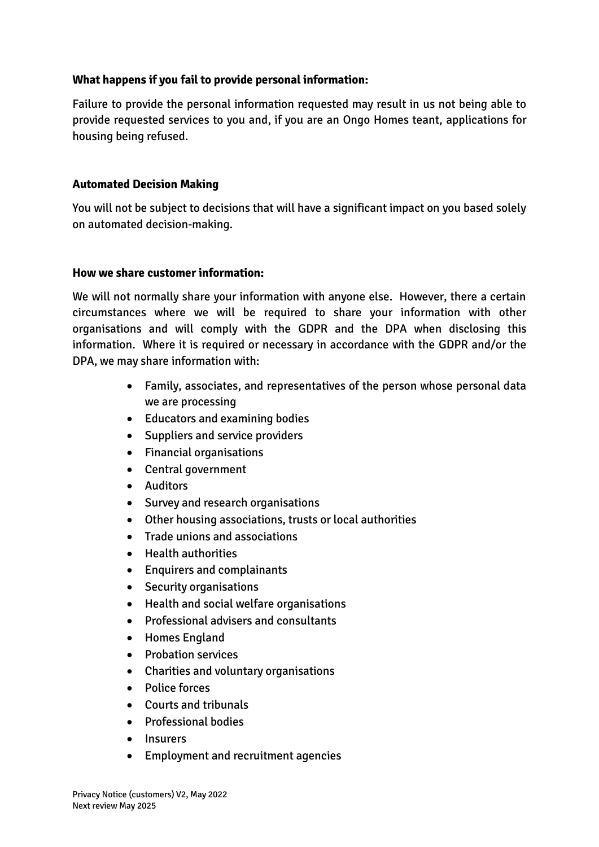### **What happens if you fail to provide personal information:**

Failure to provide the personal information requested may result in us not being able to provide requested services to you and, if you are an Ongo Homes teant, applications for housing being refused.

### **Automated Decision Making**

You will not be subject to decisions that will have a significant impact on you based solely on automated decision-making.

### **How we share customer information:**

We will not normally share your information with anyone else. However, there a certain circumstances where we will be required to share your information with other organisations and will comply with the GDPR and the DPA when disclosing this information. Where it is required or necessary in accordance with the GDPR and/or the DPA, we may share information with:

- Family, associates, and representatives of the person whose personal data we are processing
- Educators and examining bodies
- Suppliers and service providers
- Financial organisations
- Central government
- Auditors
- Survey and research organisations
- Other housing associations, trusts or local authorities
- Trade unions and associations
- Health authorities
- Enquirers and complainants
- Security organisations
- Health and social welfare organisations
- Professional advisers and consultants
- Homes England
- Probation services
- Charities and voluntary organisations
- Police forces
- Courts and tribunals
- Professional bodies
- Insurers
- Employment and recruitment agencies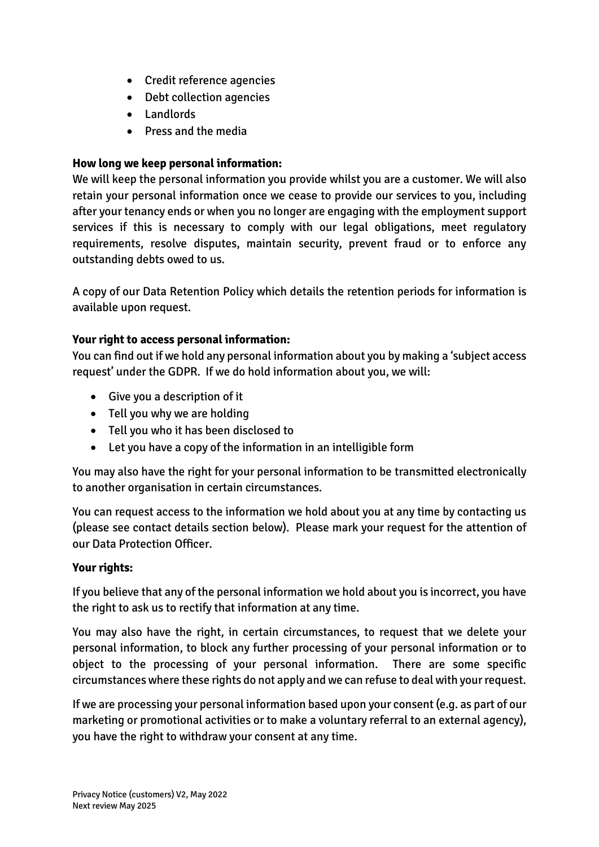- Credit reference agencies
- Debt collection agencies
- Landlords
- Press and the media

# **How long we keep personal information:**

We will keep the personal information you provide whilst you are a customer. We will also retain your personal information once we cease to provide our services to you, including after your tenancy ends or when you no longer are engaging with the employment support services if this is necessary to comply with our legal obligations, meet regulatory requirements, resolve disputes, maintain security, prevent fraud or to enforce any outstanding debts owed to us.

A copy of our Data Retention Policy which details the retention periods for information is available upon request.

# **Your right to access personal information:**

You can find out if we hold any personal information about you by making a 'subject access request' under the GDPR. If we do hold information about you, we will:

- Give you a description of it
- Tell you why we are holding
- Tell you who it has been disclosed to
- Let you have a copy of the information in an intelligible form

You may also have the right for your personal information to be transmitted electronically to another organisation in certain circumstances.

You can request access to the information we hold about you at any time by contacting us (please see contact details section below). Please mark your request for the attention of our Data Protection Officer.

# **Your rights:**

If you believe that any of the personal information we hold about you is incorrect, you have the right to ask us to rectify that information at any time.

You may also have the right, in certain circumstances, to request that we delete your personal information, to block any further processing of your personal information or to object to the processing of your personal information. There are some specific circumstances where these rights do not apply and we can refuse to deal with your request.

If we are processing your personal information based upon your consent (e.g. as part of our marketing or promotional activities or to make a voluntary referral to an external agency), you have the right to withdraw your consent at any time.